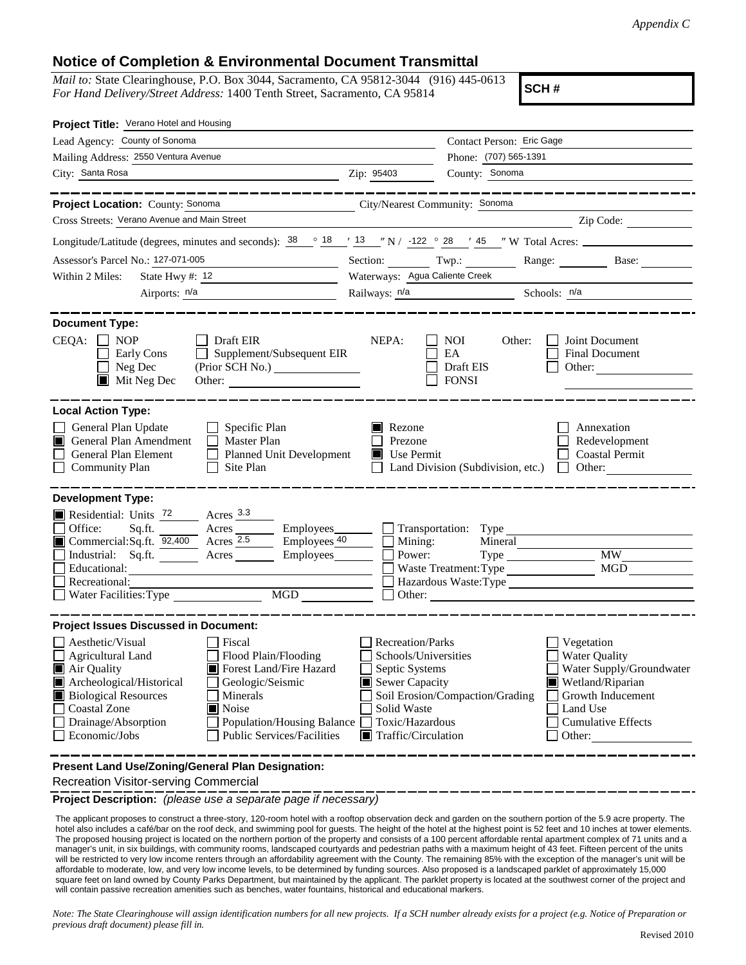## **Notice of Completion & Environmental Document Transmittal**

*Mail to:* State Clearinghouse, P.O. Box 3044, Sacramento, CA 95812-3044 (916) 445-0613 *For Hand Delivery/Street Address:* 1400 Tenth Street, Sacramento, CA 95814

**SCH #**

| Project Title: Verano Hotel and Housing                                                                                                                                                                                                                                                                                                                                       |                                                                                                                                                                            |                                                           |                                                                                                                                                            |
|-------------------------------------------------------------------------------------------------------------------------------------------------------------------------------------------------------------------------------------------------------------------------------------------------------------------------------------------------------------------------------|----------------------------------------------------------------------------------------------------------------------------------------------------------------------------|-----------------------------------------------------------|------------------------------------------------------------------------------------------------------------------------------------------------------------|
| Lead Agency: County of Sonoma                                                                                                                                                                                                                                                                                                                                                 |                                                                                                                                                                            | Contact Person: Eric Gage                                 |                                                                                                                                                            |
| Mailing Address: 2550 Ventura Avenue                                                                                                                                                                                                                                                                                                                                          | Phone: (707) 565-1391                                                                                                                                                      |                                                           |                                                                                                                                                            |
| City: Santa Rosa                                                                                                                                                                                                                                                                                                                                                              | Zip: 95403                                                                                                                                                                 | County: Sonoma                                            |                                                                                                                                                            |
|                                                                                                                                                                                                                                                                                                                                                                               |                                                                                                                                                                            |                                                           |                                                                                                                                                            |
| Project Location: County: Sonoma<br>City/Nearest Community: Sonoma                                                                                                                                                                                                                                                                                                            |                                                                                                                                                                            |                                                           |                                                                                                                                                            |
| Cross Streets: Verano Avenue and Main Street                                                                                                                                                                                                                                                                                                                                  |                                                                                                                                                                            |                                                           | $\angle$ Zip Code: $\angle$                                                                                                                                |
| Longitude/Latitude (degrees, minutes and seconds): $\frac{38}{18}$ $\frac{18}{13}$ $\frac{13}{13}$ $\frac{1}{12}$ $\frac{1}{12}$ $\frac{1}{28}$ $\frac{1}{28}$ $\frac{1}{28}$ $\frac{1}{28}$ $\frac{1}{28}$ $\frac{1}{28}$ $\frac{1}{28}$ $\frac{1}{28}$ $\frac{1}{28}$ $\frac{1}{28}$ $\$                                                                                    |                                                                                                                                                                            |                                                           |                                                                                                                                                            |
| Assessor's Parcel No.: 127-071-005                                                                                                                                                                                                                                                                                                                                            |                                                                                                                                                                            |                                                           | Section: Twp.: Range: Base:                                                                                                                                |
| Within 2 Miles:<br>State Hwy #: $12$                                                                                                                                                                                                                                                                                                                                          | Waterways: Agua Caliente Creek                                                                                                                                             |                                                           |                                                                                                                                                            |
| Airports: n/a                                                                                                                                                                                                                                                                                                                                                                 |                                                                                                                                                                            | Railways: $n/a$ Schools: $n/a$                            |                                                                                                                                                            |
|                                                                                                                                                                                                                                                                                                                                                                               |                                                                                                                                                                            |                                                           |                                                                                                                                                            |
| <b>Document Type:</b><br>CEQA:<br><b>NOP</b><br>$\Box$ Draft EIR<br>Supplement/Subsequent EIR<br>Early Cons<br>Neg Dec<br>$\blacksquare$ Mit Neg Dec                                                                                                                                                                                                                          | NEPA:                                                                                                                                                                      | NOI<br>Other:<br>EA<br>Draft EIS<br><b>FONSI</b>          | Joint Document<br>Final Document<br>Other:                                                                                                                 |
| <b>Local Action Type:</b><br>General Plan Update<br>$\Box$ Specific Plan<br>General Plan Amendment<br>$\Box$ Master Plan<br>IП<br>General Plan Element<br>Planned Unit Development<br><b>Community Plan</b><br>Site Plan<br>$\perp$                                                                                                                                           | Rezone<br>Prezone<br>$\blacksquare$ Use Permit                                                                                                                             | Land Division (Subdivision, etc.)                         | Annexation<br>Redevelopment<br><b>Coastal Permit</b><br>Other:<br>$\mathbf{1}$                                                                             |
| <b>Development Type:</b>                                                                                                                                                                                                                                                                                                                                                      |                                                                                                                                                                            |                                                           |                                                                                                                                                            |
| Residential: Units 72 Acres 3.3<br>Office:<br>Sq.ft.<br>Acres Employees Transportation: Type<br>Commercial:Sq.ft. $\overline{92,400}$ Acres 2.5<br>$\equiv$ Employees $40$<br>Industrial: Sq.ft. <u>Acres</u> Acres Employees<br>Educational:<br>Recreational:<br>MGD<br>Water Facilities: Type                                                                               | Mining:<br>Power:                                                                                                                                                          | Mineral<br>$Type \_\_$<br>Waste Treatment: Type<br>Other: | <b>MW</b><br><b>MGD</b>                                                                                                                                    |
| <b>Project Issues Discussed in Document:</b>                                                                                                                                                                                                                                                                                                                                  |                                                                                                                                                                            |                                                           |                                                                                                                                                            |
| Aesthetic/Visual<br>Fiscal<br>Flood Plain/Flooding<br>Agricultural Land<br>Air Quality<br>Forest Land/Fire Hazard<br>Archeological/Historical<br>Geologic/Seismic<br><b>Biological Resources</b><br>Minerals<br><b>Coastal Zone</b><br>$\blacksquare$ Noise<br>Drainage/Absorption<br><b>Population/Housing Balance</b><br>Economic/Jobs<br><b>Public Services/Facilities</b> | <b>Recreation/Parks</b><br>Schools/Universities<br>Septic Systems<br>$\blacksquare$ Sewer Capacity<br>Solid Waste<br>Toxic/Hazardous<br>$\blacksquare$ Traffic/Circulation | Soil Erosion/Compaction/Grading                           | Vegetation<br><b>Water Quality</b><br>Water Supply/Groundwater<br>Wetland/Riparian<br>Growth Inducement<br>Land Use<br><b>Cumulative Effects</b><br>Other: |
| Present Land Use/Zoning/General Plan Designation:                                                                                                                                                                                                                                                                                                                             |                                                                                                                                                                            |                                                           |                                                                                                                                                            |

Recreation Visitor-serving Commercial

**Project Description:** *(please use a separate page if necessary)*

 The applicant proposes to construct a three-story, 120-room hotel with a rooftop observation deck and garden on the southern portion of the 5.9 acre property. The hotel also includes a café/bar on the roof deck, and swimming pool for guests. The height of the hotel at the highest point is 52 feet and 10 inches at tower elements. The proposed housing project is located on the northern portion of the property and consists of a 100 percent affordable rental apartment complex of 71 units and a manager's unit, in six buildings, with community rooms, landscaped courtyards and pedestrian paths with a maximum height of 43 feet. Fifteen percent of the units will be restricted to very low income renters through an affordability agreement with the County. The remaining 85% with the exception of the manager's unit will be affordable to moderate, low, and very low income levels, to be determined by funding sources. Also proposed is a landscaped parklet of approximately 15,000 square feet on land owned by County Parks Department, but maintained by the applicant. The parklet property is located at the southwest corner of the project and will contain passive recreation amenities such as benches, water fountains, historical and educational markers.

*Note: The State Clearinghouse will assign identification numbers for all new projects. If a SCH number already exists for a project (e.g. Notice of Preparation or previous draft document) please fill in.*